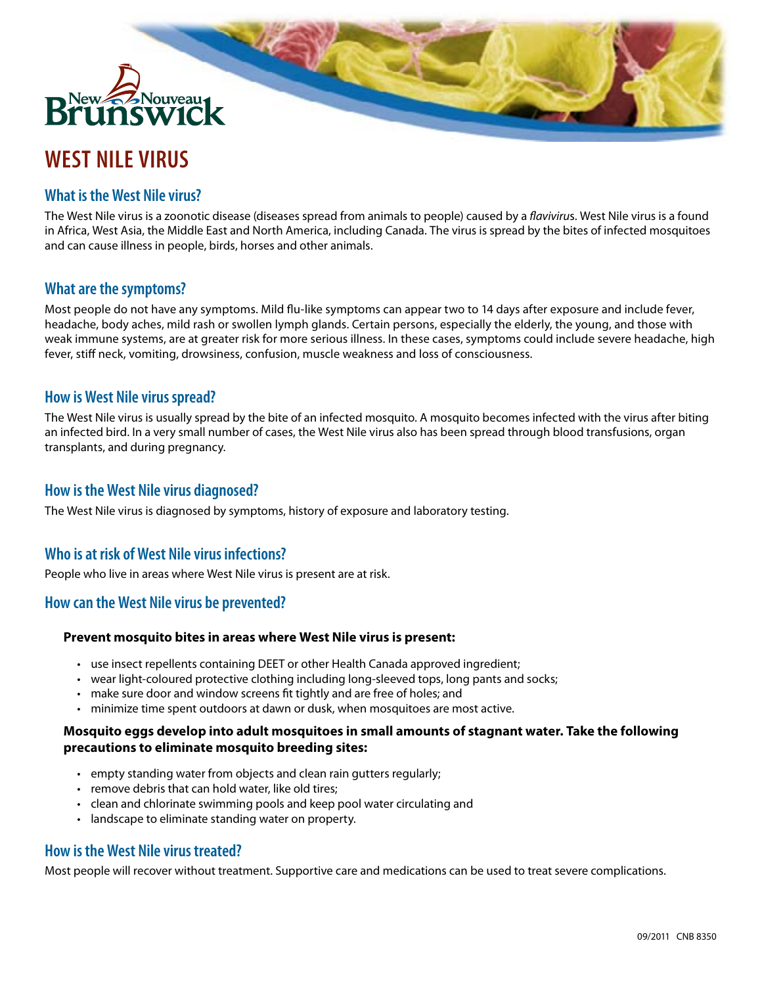

# **WEST NILE VIRUS**

## **What is the West Nile virus?**

The West Nile virus is a zoonotic disease (diseases spread from animals to people) caused by a *flaviviru*s. West Nile virus is a found in Africa, West Asia, the Middle East and North America, including Canada. The virus is spread by the bites of infected mosquitoes and can cause illness in people, birds, horses and other animals.

## **What are the symptoms?**

Most people do not have any symptoms. Mild flu-like symptoms can appear two to 14 days after exposure and include fever, headache, body aches, mild rash or swollen lymph glands. Certain persons, especially the elderly, the young, and those with weak immune systems, are at greater risk for more serious illness. In these cases, symptoms could include severe headache, high fever, stiff neck, vomiting, drowsiness, confusion, muscle weakness and loss of consciousness.

### **How is West Nile virus spread?**

The West Nile virus is usually spread by the bite of an infected mosquito. A mosquito becomes infected with the virus after biting an infected bird. In a very small number of cases, the West Nile virus also has been spread through blood transfusions, organ transplants, and during pregnancy.

## **How is the West Nile virus diagnosed?**

The West Nile virus is diagnosed by symptoms, history of exposure and laboratory testing.

## **Who is at risk of West Nile virus infections?**

People who live in areas where West Nile virus is present are at risk.

## **How can the West Nile virus be prevented?**

#### **Prevent mosquito bites in areas where West Nile virus is present:**

- use insect repellents containing DEET or other Health Canada approved ingredient;
- wear light-coloured protective clothing including long-sleeved tops, long pants and socks;
- make sure door and window screens fit tightly and are free of holes; and
- • minimize time spent outdoors at dawn or dusk, when mosquitoes are most active.

#### **Mosquito eggs develop into adult mosquitoes in small amounts of stagnant water. Take the following precautions to eliminate mosquito breeding sites:**

- empty standing water from objects and clean rain gutters regularly;
- remove debris that can hold water, like old tires:
- clean and chlorinate swimming pools and keep pool water circulating and
- landscape to eliminate standing water on property.

## **How is the West Nile virus treated?**

Most people will recover without treatment. Supportive care and medications can be used to treat severe complications.